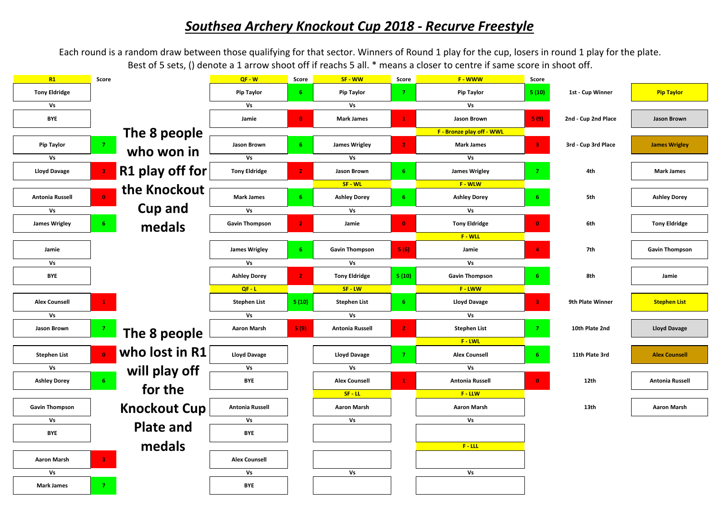## *Southsea Archery Knockout Cup 2018 - Recurve Freestyle*

Each round is a random draw between those qualifying for that sector. Winners of Round 1 play for the cup, losers in round 1 play for the plate. Best of 5 sets, () denote a 1 arrow shoot off if reachs 5 all. \* means a closer to centre if same score in shoot off.

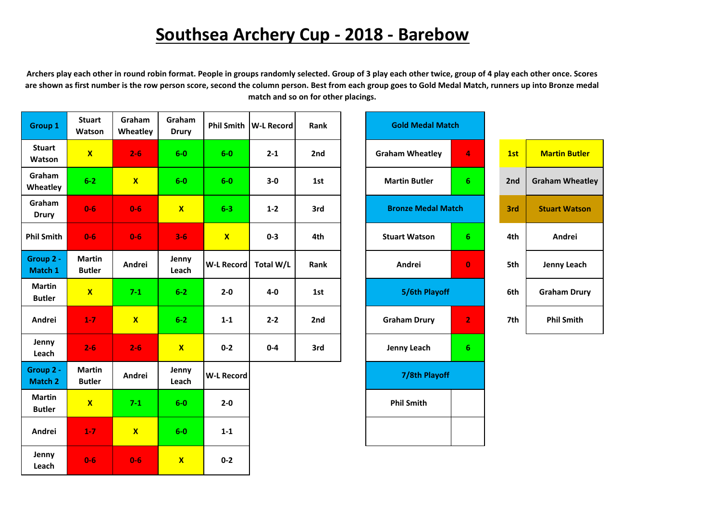## **Southsea Archery Cup - 2018 - Barebow**

**Archers play each other in round robin format. People in groups randomly selected. Group of 3 play each other twice, group of 4 play each other once. Scores are shown as first number is the row person score, second the column person. Best from each group goes to Gold Medal Match, runners up into Bronze medal match and so on for other placings.** 

| Group 1                        | <b>Stuart</b><br>Watson        | Graham<br>Wheatley | Graham<br><b>Drury</b> | <b>Phil Smith</b> | <b>W-L Record</b> | Rank | <b>Gold Medal Match</b>   |                |     |                        |
|--------------------------------|--------------------------------|--------------------|------------------------|-------------------|-------------------|------|---------------------------|----------------|-----|------------------------|
| <b>Stuart</b><br>Watson        | $\mathbf{x}$                   | $2 - 6$            | $6-0$                  | $6-0$             | $2 - 1$           | 2nd  | <b>Graham Wheatley</b>    | 4              | 1st | <b>Martin Butler</b>   |
| Graham<br>Wheatley             | $6-2$                          | $\mathbf{X}$       | $6-0$                  | $6-0$             | $3-0$             | 1st  | <b>Martin Butler</b>      | 6 <sup>1</sup> | 2nd | <b>Graham Wheatley</b> |
| Graham<br><b>Drury</b>         | $0-6$                          | $0-6$              | $\mathbf{X}$           | $6 - 3$           | $1 - 2$           | 3rd  | <b>Bronze Medal Match</b> |                | 3rd | <b>Stuart Watson</b>   |
| <b>Phil Smith</b>              | $0-6$                          | $0-6$              | $3 - 6$                | $\mathbf{X}$      | $0 - 3$           | 4th  | <b>Stuart Watson</b>      | 6 <sup>1</sup> | 4th | Andrei                 |
| Group 2 -<br>Match 1           | <b>Martin</b><br><b>Butler</b> | Andrei             | Jenny<br>Leach         | <b>W-L Record</b> | Total W/L         | Rank | Andrei                    | $\pmb{0}$      | 5th | <b>Jenny Leach</b>     |
| <b>Martin</b><br><b>Butler</b> | $\mathbf{X}$                   | $7 - 1$            | $6 - 2$                | $2 - 0$           | $4-0$             | 1st  | 5/6th Playoff             |                | 6th | <b>Graham Drury</b>    |
| Andrei                         | $1 - 7$                        | $\mathbf{x}$       | $6 - 2$                | $1 - 1$           | $2 - 2$           | 2nd  | <b>Graham Drury</b>       | $\mathbf{2}$   | 7th | <b>Phil Smith</b>      |
| Jenny<br>Leach                 | $2 - 6$                        | $2 - 6$            | $\mathbf{x}$           | $0-2$             | $0 - 4$           | 3rd  | Jenny Leach               | 6 <sup>1</sup> |     |                        |
| Group 2 -<br>Match 2           | <b>Martin</b><br><b>Butler</b> | Andrei             | Jenny<br>Leach         | <b>W-L Record</b> |                   |      | 7/8th Playoff             |                |     |                        |
| <b>Martin</b><br><b>Butler</b> | $\mathbf{X}$                   | $7-1$              | $6-0$                  | $2 - 0$           |                   |      | <b>Phil Smith</b>         |                |     |                        |
| Andrei                         | $1 - 7$                        | $\mathbf{x}$       | $6-0$                  | $1 - 1$           |                   |      |                           |                |     |                        |
| Jenny<br>Leach                 | $0-6$                          | $0-6$              | $\mathbf{x}$           | $0 - 2$           |                   |      |                           |                |     |                        |

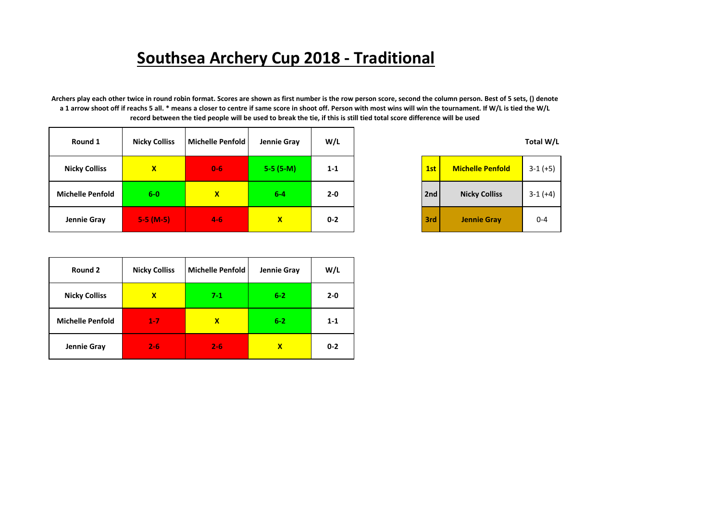## **Southsea Archery Cup 2018 - Traditional**

**Archers play each other twice in round robin format. Scores are shown as first number is the row person score, second the column person. Best of 5 sets, () denote a 1 arrow shoot off if reachs 5 all. \* means a closer to centre if same score in shoot off. Person with most wins will win the tournament. If W/L is tied the W/L record between the tied people will be used to break the tie, if this is still tied total score difference will be used**

| Round 1                 | <b>Nicky Colliss</b> | Michelle Penfold | Jennie Gray  | W/L     |     |                         | Total W/L  |
|-------------------------|----------------------|------------------|--------------|---------|-----|-------------------------|------------|
| <b>Nicky Colliss</b>    | $\mathbf{x}$         | $0-6$            | $5-5(5-M)$   | $1 - 1$ | 1st | <b>Michelle Penfold</b> | $3-1 (+5)$ |
| <b>Michelle Penfold</b> | $6-0$                | $\mathbf{x}$     | $6-4$        | $2 - 0$ | 2nd | <b>Nicky Colliss</b>    | $3-1 (+4)$ |
| Jennie Gray             | $5-5(M-5)$           | $4 - 6$          | $\mathbf{x}$ | $0 - 2$ | 3rd | <b>Jennie Gray</b>      | $0 - 4$    |

| 1st | <b>Michelle Penfold</b> | $3-1 (+5)$ |
|-----|-------------------------|------------|
| 2nd | <b>Nicky Colliss</b>    | $3-1 (+4)$ |
| 3rd | <b>Jennie Gray</b>      | በ-4        |

| Round 2                 | <b>Nicky Colliss</b> | <b>Michelle Penfold</b> | Jennie Gray | W/L     |
|-------------------------|----------------------|-------------------------|-------------|---------|
| <b>Nicky Colliss</b>    | $\mathbf x$          | $7-1$                   | $6 - 2$     | $2 - 0$ |
| <b>Michelle Penfold</b> | $1 - 7$              | x                       | $6 - 2$     | $1 - 1$ |
| Jennie Gray             | $2 - 6$              | $2 - 6$                 | X           | $0 - 2$ |